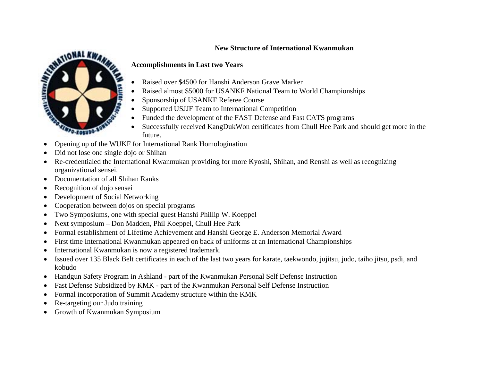#### **New Structure of International Kwanmukan**



### **Accomplishments in Last two Years**

- Raised over \$4500 for Hanshi Anderson Grave Marker
- Raised almost \$5000 for USANKF National Team to World Championships
- Sponsorship of USANKF Referee Course
- Supported USJJF Team to International Competition
- Funded the development of the FAST Defense and Fast CATS programs
- Successfully received KangDukWon certificates from Chull Hee Park and should get more in the future.
- Opening up of the WUKF for International Rank Homologination
- Did not lose one single dojo or Shihan
- Re-credentialed the International Kwanmukan providing for more Kyoshi, Shihan, and Renshi as well as recognizing organizational sensei.
- Documentation of all Shihan Ranks
- Recognition of dojo sensei
- Development of Social Networking
- Cooperation between dojos on special programs
- Two Symposiums, one with special guest Hanshi Phillip W. Koeppel
- Next symposium Don Madden, Phil Koeppel, Chull Hee Park
- Formal establishment of Lifetime Achievement and Hanshi George E. Anderson Memorial Award
- First time International Kwanmukan appeared on back of uniforms at an International Championships
- International Kwanmukan is now a registered trademark.
- Issued over 135 Black Belt certificates in each of the last two years for karate, taekwondo, jujitsu, judo, taiho jitsu, psdi, and kobudo
- Handgun Safety Program in Ashland part of the Kwanmukan Personal Self Defense Instruction
- Fast Defense Subsidized by KMK part of the Kwanmukan Personal Self Defense Instruction
- Formal incorporation of Summit Academy structure within the KMK
- Re-targeting our Judo training
- Growth of Kwanmukan Symposium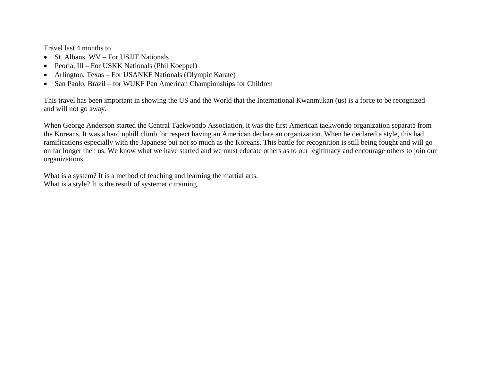Travel last 4 months to

- St. Albans, WV For USJJF Nationals
- Peoria, Ill For USKK Nationals (Phil Koeppel)
- Arlington, Texas For USANKF Nationals (Olympic Karate)
- San Paolo, Brazil for WUKF Pan American Championships for Children

This travel has been important in showing the US and the World that the International Kwanmukan (us) is a force to be recognized and will not go away.

When George Anderson started the Central Taekwondo Association, it was the first American taekwondo organization separate from the Koreans. It was a hard uphill climb for respect having an American declare an organization. When he declared a style, this had ramifications especially with the Japanese but not so much as the Koreans. This battle for recognition is still being fought and will go on far longer then us. We know what we have started and we must educate others as to our legitimacy and encourage others to join our organizations.

What is a system? It is a method of teaching and learning the martial arts. What is a style? It is the result of systematic training.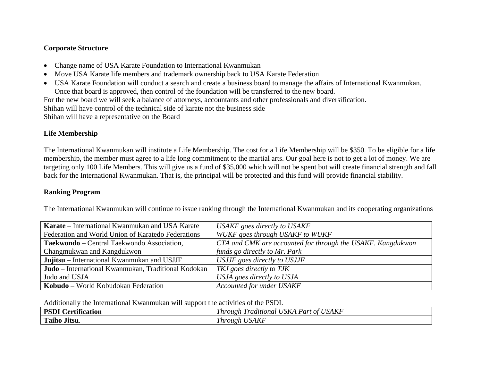#### **Corporate Structure**

- Change name of USA Karate Foundation to International Kwanmukan
- Move USA Karate life members and trademark ownership back to USA Karate Federation
- USA Karate Foundation will conduct a search and create a business board to manage the affairs of International Kwanmukan. Once that board is approved, then control of the foundation will be transferred to the new board. For the new board we will seek a balance of attorneys, accountants and other professionals and diversification. Shihan will have control of the technical side of karate not the business side

Shihan will have a representative on the Board

## **Life Membership**

The International Kwanmukan will institute a Life Membership. The cost for a Life Membership will be \$350. To be eligible for a life membership, the member must agree to a life long commitment to the martial arts. Our goal here is not to get a lot of money. We are targeting only 100 Life Members. This will give us a fund of \$35,000 which will not be spent but will create financial strength and fall back for the International Kwanmukan. That is, the principal will be protected and this fund will provide financial stability.

### **Ranking Program**

The International Kwanmukan will continue to issue ranking through the International Kwanmukan and its cooperating organizations

| Karate – International Kwanmukan and USA Karate     | <b>USAKF</b> goes directly to USAKF                         |  |  |  |  |  |  |
|-----------------------------------------------------|-------------------------------------------------------------|--|--|--|--|--|--|
| Federation and World Union of Karatedo Federations  | WUKF goes through USAKF to WUKF                             |  |  |  |  |  |  |
| Taekwondo – Central Taekwondo Association,          | CTA and CMK are accounted for through the USAKF. Kangdukwon |  |  |  |  |  |  |
| Changmukwan and Kangdukwon                          | funds go directly to Mr. Park                               |  |  |  |  |  |  |
| Jujitsu – International Kwanmukan and USJJF         | USJJF goes directly to USJJF                                |  |  |  |  |  |  |
| Judo - International Kwanmukan, Traditional Kodokan | TKJ goes directly to TJK                                    |  |  |  |  |  |  |
| Judo and USJA                                       | USJA goes directly to USJA                                  |  |  |  |  |  |  |
| Kobudo – World Kobudokan Federation                 | <b>Accounted for under USAKF</b>                            |  |  |  |  |  |  |

Additionally the International Kwanmukan will support the activities of the PSDI.

| $. • \bullet$<br><b>DCD</b><br>$\sim$<br>.<br>tification<br>Лr | TT <sub>0</sub><br><i>JSAKF</i><br>TT1<br>$\overline{r}$<br>$\sqrt{ }$<br>$^{\prime}$ /SK $\sim$<br>raditional<br>Part of T<br>1 hrough |  |  |  |  |
|----------------------------------------------------------------|-----------------------------------------------------------------------------------------------------------------------------------------|--|--|--|--|
| $\mathbf{r}$<br>$\mathbf{r}$<br>.<br>Taiho Jitsu.              | <b>USAKF</b><br>T1<br>1 hrough                                                                                                          |  |  |  |  |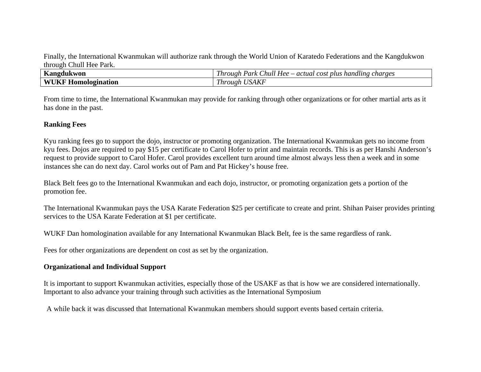Finally, the International Kwanmukan will authorize rank through the World Union of Karatedo Federations and the Kangdukwon through Chull Hee Park.

| $\mathbf{r}$<br><b>Kangdukwon</b> | $\sim$<br>$\bullet$<br>Hee<br>– actual<br>Park<br>cost<br>handling<br>charges<br>Chull<br>. plus<br>1 hrough |
|-----------------------------------|--------------------------------------------------------------------------------------------------------------|
| WI<br>Homologination              | IJГ<br><u>т.</u><br>1 hrough<br>'YAN                                                                         |

From time to time, the International Kwanmukan may provide for ranking through other organizations or for other martial arts as it has done in the past.

#### **Ranking Fees**

Kyu ranking fees go to support the dojo, instructor or promoting organization. The International Kwanmukan gets no income from kyu fees. Dojos are required to pay \$15 per certificate to Carol Hofer to print and maintain records. This is as per Hanshi Anderson's request to provide support to Carol Hofer. Carol provides excellent turn around time almost always less then a week and in some instances she can do next day. Carol works out of Pam and Pat Hickey's house free.

Black Belt fees go to the International Kwanmukan and each dojo, instructor, or promoting organization gets a portion of the promotion fee.

The International Kwanmukan pays the USA Karate Federation \$25 per certificate to create and print. Shihan Paiser provides printing services to the USA Karate Federation at \$1 per certificate.

WUKF Dan homologination available for any International Kwanmukan Black Belt, fee is the same regardless of rank.

Fees for other organizations are dependent on cost as set by the organization.

#### **Organizational and Individual Support**

It is important to support Kwanmukan activities, especially those of the USAKF as that is how we are considered internationally. Important to also advance your training through such activities as the International Symposium

A while back it was discussed that International Kwanmukan members should support events based certain criteria.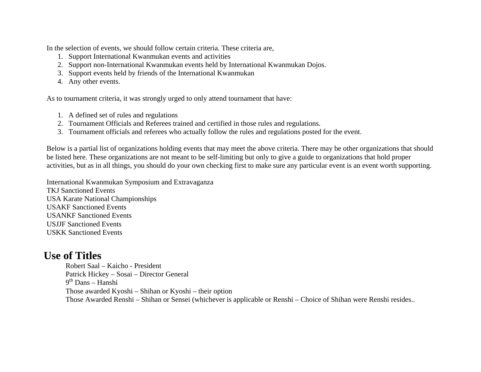In the selection of events, we should follow certain criteria. These criteria are,

- 1. Support International Kwanmukan events and activities
- 2. Support non-International Kwanmukan events held by International Kwanmukan Dojos.
- 3. Support events held by friends of the International Kwanmukan
- 4. Any other events.

As to tournament criteria, it was strongly urged to only attend tournament that have:

- 1. A defined set of rules and regulations
- 2. Tournament Officials and Referees trained and certified in those rules and regulations.
- 3. Tournament officials and referees who actually follow the rules and regulations posted for the event.

Below is a partial list of organizations holding events that may meet the above criteria. There may be other organizations that should be listed here. These organizations are not meant to be self-limiting but only to give a guide to organizations that hold proper activities, but as in all things, you should do your own checking first to make sure any particular event is an event worth supporting.

International Kwanmukan Symposium and Extravaganza TKJ Sanctioned Events USA Karate National Championships USAKF Sanctioned Events USANKF Sanctioned Events USJJF Sanctioned Events USKK Sanctioned Events

# **Use of Titles**

Robert Saal – Kaicho - President Patrick Hickey – Sosai – Director General  $9<sup>th</sup>$  Dans – Hanshi Those awarded Kyoshi – Shihan or Kyoshi – their option Those Awarded Renshi – Shihan or Sensei (whichever is applicable or Renshi – Choice of Shihan were Renshi resides..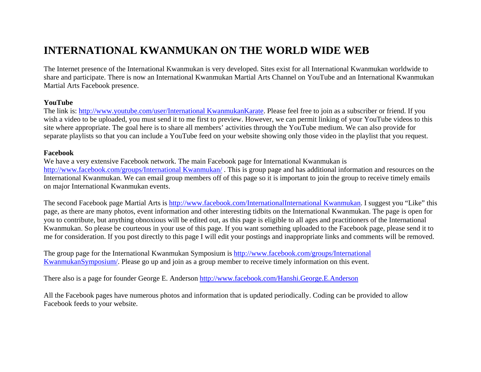# **INTERNATIONAL KWANMUKAN ON THE WORLD WIDE WEB**

The Internet presence of the International Kwanmukan is very developed. Sites exist for all International Kwanmukan worldwide to share and participate. There is now an International Kwanmukan Martial Arts Channel on YouTube and an International Kwanmukan Martial Arts Facebook presence.

#### **YouTube**

The link is: http://www.youtube.com/user/International KwanmukanKarate. Please feel free to join as a subscriber or friend. If you wish a video to be uploaded, you must send it to me first to preview. However, we can permit linking of your YouTube videos to this site where appropriate. The goal here is to share all members' activities through the YouTube medium. We can also provide for separate playlists so that you can include a YouTube feed on your website showing only those video in the playlist that you request.

#### **Facebook**

We have a very extensive Facebook network. The main Facebook page for International Kwanmukan is http://www.facebook.com/groups/International Kwanmukan/ . This is group page and has additional information and resources on the International Kwanmukan. We can email group members off of this page so it is important to join the group to receive timely emails on major International Kwanmukan events.

The second Facebook page Martial Arts is http://www.facebook.com/InternationalInternational Kwanmukan. I suggest you "Like" this page, as there are many photos, event information and other interesting tidbits on the International Kwanmukan. The page is open for you to contribute, but anything obnoxious will be edited out, as this page is eligible to all ages and practitioners of the International Kwanmukan. So please be courteous in your use of this page. If you want something uploaded to the Facebook page, please send it to me for consideration. If you post directly to this page I will edit your postings and inappropriate links and comments will be removed.

The group page for the International Kwanmukan Symposium is http://www.facebook.com/groups/International KwanmukanSymposium/. Please go up and join as a group member to receive timely information on this event.

There also is a page for founder George E. Anderson http://www.facebook.com/Hanshi.George.E.Anderson

All the Facebook pages have numerous photos and information that is updated periodically. Coding can be provided to allow Facebook feeds to your website.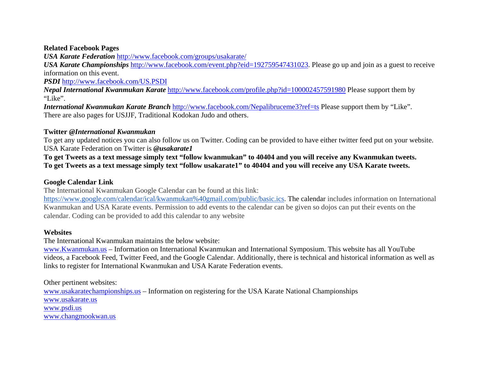#### **Related Facebook Pages**

*USA Karate Federation* http://www.facebook.com/groups/usakarate/

*USA Karate Championships* http://www.facebook.com/event.php?eid=192759547431023. Please go up and join as a guest to receive information on this event.

*PSDI* http://www.facebook.com/US.PSDI

*Nepal International Kwanmukan Karate* http://www.facebook.com/profile.php?id=100002457591980 Please support them by "Like".

*International Kwanmukan Karate Branch* http://www.facebook.com/Nepalibruceme3?ref=ts Please support them by "Like". There are also pages for USJJF, Traditional Kodokan Judo and others.

#### **Twitter** *@International Kwanmukan*

To get any updated notices you can also follow us on Twitter. Coding can be provided to have either twitter feed put on your website. USA Karate Federation on Twitter is *@usakarate1* 

**To get Tweets as a text message simply text "follow kwanmukan" to 40404 and you will receive any Kwanmukan tweets. To get Tweets as a text message simply text "follow usakarate1" to 40404 and you will receive any USA Karate tweets.**

#### **Google Calendar Link**

The International Kwanmukan Google Calendar can be found at this link:

https://www.google.com/calendar/ical/kwanmukan%40gmail.com/public/basic.ics. The calendar includes information on International Kwanmukan and USA Karate events. Permission to add events to the calendar can be given so dojos can put their events on the calendar. Coding can be provided to add this calendar to any website

#### **Websites**

The International Kwanmukan maintains the below website:

www.Kwanmukan.us – Information on International Kwanmukan and International Symposium. This website has all YouTube videos, a Facebook Feed, Twitter Feed, and the Google Calendar. Additionally, there is technical and historical information as well as links to register for International Kwanmukan and USA Karate Federation events.

Other pertinent websites:

www.usakaratechampionships.us – Information on registering for the USA Karate National Championships www.usakarate.uswww.psdi.us www.changmookwan.us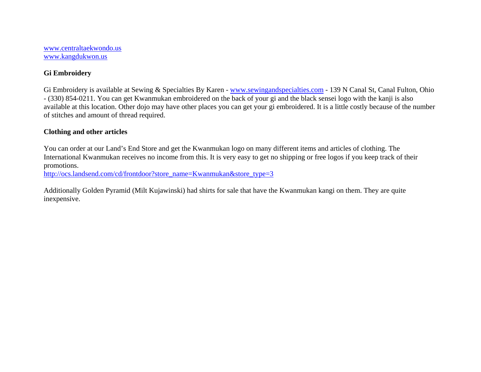www.centraltaekwondo.us www.kangdukwon.us

#### **Gi Embroidery**

Gi Embroidery is available at Sewing & Specialties By Karen - www.sewingandspecialties.com - 139 N Canal St, Canal Fulton, Ohio - (330) 854-0211. You can get Kwanmukan embroidered on the back of your gi and the black sensei logo with the kanji is also available at this location. Other dojo may have other places you can get your gi embroidered. It is a little costly because of the number of stitches and amount of thread required.

#### **Clothing and other articles**

You can order at our Land's End Store and get the Kwanmukan logo on many different items and articles of clothing. The International Kwanmukan receives no income from this. It is very easy to get no shipping or free logos if you keep track of their promotions.

http://ocs.landsend.com/cd/frontdoor?store\_name=Kwanmukan&store\_type=3

Additionally Golden Pyramid (Milt Kujawinski) had shirts for sale that have the Kwanmukan kangi on them. They are quite inexpensive.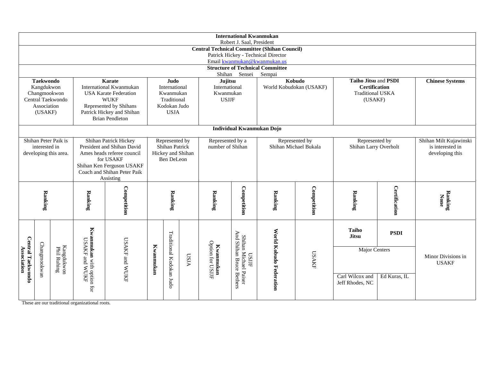|                                                               |                                                                     |                                                                        |                                                | <b>International Kwanmukan</b>          |                            |                          |                  |                               |                                                   |                                         |                       |                                                 |                  |                        |
|---------------------------------------------------------------|---------------------------------------------------------------------|------------------------------------------------------------------------|------------------------------------------------|-----------------------------------------|----------------------------|--------------------------|------------------|-------------------------------|---------------------------------------------------|-----------------------------------------|-----------------------|-------------------------------------------------|------------------|------------------------|
| Robert J. Saal, President                                     |                                                                     |                                                                        |                                                |                                         |                            |                          |                  |                               |                                                   |                                         |                       |                                                 |                  |                        |
| <b>Central Technical Committee (Shihan Council)</b>           |                                                                     |                                                                        |                                                |                                         |                            |                          |                  |                               |                                                   |                                         |                       |                                                 |                  |                        |
|                                                               | Patrick Hickey - Technical Director<br>Email kwanmukan@kwanmukan.us |                                                                        |                                                |                                         |                            |                          |                  |                               |                                                   |                                         |                       |                                                 |                  |                        |
|                                                               |                                                                     |                                                                        |                                                |                                         |                            |                          |                  |                               |                                                   | <b>Structure of Technical Committee</b> |                       |                                                 |                  |                        |
|                                                               |                                                                     |                                                                        |                                                |                                         |                            |                          |                  | Shihan                        | Sensei                                            | Sempai                                  |                       |                                                 |                  |                        |
| <b>Taekwondo</b><br>Karate<br>Judo<br>International Kwanmukan |                                                                     |                                                                        |                                                | Jujitsu<br>International                |                            | Kobudo                   |                  | Taiho Jitsu and PSDI          |                                                   | <b>Chinese Systems</b>                  |                       |                                                 |                  |                        |
| Kangdukwon<br>Changmookwon                                    |                                                                     |                                                                        |                                                | <b>USA Karate Federation</b>            | International<br>Kwanmukan |                          |                  | Kwanmukan                     |                                                   | World Kobudokan (USAKF)                 |                       | <b>Certification</b><br><b>Traditional USKA</b> |                  |                        |
|                                                               |                                                                     | Central Taekwondo                                                      | <b>WUKF</b>                                    | Traditional                             |                            |                          | <b>USJJF</b>     |                               |                                                   |                                         | (USAKF)               |                                                 |                  |                        |
|                                                               | Association                                                         |                                                                        |                                                | Represented by Shihans<br>Kodokan Judo  |                            |                          |                  |                               |                                                   |                                         |                       |                                                 |                  |                        |
|                                                               | (USAKF)                                                             |                                                                        |                                                | Patrick Hickey and Shihan               |                            | <b>USJA</b>              |                  |                               |                                                   |                                         |                       |                                                 |                  |                        |
|                                                               |                                                                     |                                                                        |                                                | <b>Brian Pendleton</b>                  |                            |                          |                  |                               |                                                   |                                         |                       |                                                 |                  |                        |
| Individual Kwanmukan Dojo                                     |                                                                     |                                                                        |                                                |                                         |                            |                          |                  |                               |                                                   |                                         |                       |                                                 |                  |                        |
|                                                               |                                                                     | Shihan Peter Paik is                                                   |                                                | <b>Shihan Patrick Hickey</b>            |                            | Represented by           |                  | Represented by a              |                                                   | Represented by                          |                       | Represented by                                  |                  | Shihan Milt Kujawinski |
| interested in                                                 |                                                                     |                                                                        | President and Shihan David                     | Shihan Patrick                          |                            |                          | number of Shihan |                               | Shihan Michael Bukala                             |                                         | Shihan Larry Overholt |                                                 | is interested in |                        |
| developing this area.                                         |                                                                     |                                                                        |                                                | Ames heads referee council<br>for USAKF | Hickey and Shihan          |                          |                  |                               |                                                   |                                         |                       |                                                 | developing this  |                        |
|                                                               |                                                                     |                                                                        |                                                | Shihan Ken Ferguson USAKF               | Ben DeLeon                 |                          |                  |                               |                                                   |                                         |                       |                                                 |                  |                        |
|                                                               |                                                                     |                                                                        | Coach and Shihan Peter Paik                    |                                         |                            |                          |                  |                               |                                                   |                                         |                       |                                                 |                  |                        |
|                                                               |                                                                     |                                                                        |                                                | Assisting                               |                            |                          |                  |                               |                                                   |                                         |                       |                                                 |                  |                        |
|                                                               |                                                                     |                                                                        |                                                |                                         |                            |                          |                  |                               |                                                   |                                         |                       |                                                 |                  |                        |
|                                                               |                                                                     |                                                                        | Ranking                                        | Competition                             | Ranking                    |                          | Ranking          | Competition                   | Ranking                                           | Competition                             | Ranking               | Certification                                   | Ranking<br>None  |                        |
| Ranking                                                       |                                                                     |                                                                        |                                                |                                         |                            |                          |                  |                               |                                                   |                                         |                       |                                                 |                  |                        |
|                                                               |                                                                     |                                                                        |                                                |                                         |                            |                          |                  |                               |                                                   |                                         |                       |                                                 |                  |                        |
|                                                               |                                                                     |                                                                        |                                                |                                         |                            |                          |                  |                               |                                                   |                                         |                       |                                                 |                  |                        |
|                                                               | Changmookwan                                                        |                                                                        |                                                |                                         |                            |                          |                  |                               |                                                   |                                         |                       | <b>Taiho</b>                                    | <b>PSDI</b>      |                        |
|                                                               |                                                                     | $\begin{array}{c} \text{Kangdukwon} \\ \text{Phil Ruhing} \end{array}$ |                                                |                                         |                            |                          |                  |                               |                                                   |                                         |                       | <b>Jitsu</b>                                    |                  |                        |
|                                                               |                                                                     |                                                                        |                                                |                                         |                            |                          |                  |                               |                                                   |                                         |                       | <b>Major Centers</b>                            |                  |                        |
|                                                               |                                                                     |                                                                        | <b>Kwammukan</b> with option<br>USAKF and WUKF | USAKF and WUKF                          | Kwammukan                  | Traditional Kodokan Judo |                  |                               |                                                   |                                         | <b>USAKF</b>          |                                                 |                  | Minor Divisions in     |
| Association                                                   |                                                                     |                                                                        |                                                |                                         |                            |                          | <b>USJA</b>      | Option for USJJF<br>Kwannukan | <b>USJIF</b>                                      |                                         |                       |                                                 |                  | <b>USAKF</b>           |
|                                                               |                                                                     |                                                                        |                                                |                                         |                            |                          |                  |                               |                                                   |                                         |                       |                                                 |                  |                        |
| <b>Central Taekwondo</b>                                      |                                                                     |                                                                        |                                                |                                         |                            |                          |                  |                               | And Shihan Bruce Bethers<br>Shihan Michael Paiser | World Kobudo Federation                 |                       | Carl Wilcox and                                 | Ed Kuras, IL     |                        |
|                                                               |                                                                     |                                                                        | for                                            |                                         |                            |                          |                  |                               |                                                   |                                         |                       | Jeff Rhodes, NC                                 |                  |                        |
|                                                               |                                                                     |                                                                        |                                                |                                         |                            |                          |                  |                               |                                                   |                                         |                       |                                                 |                  |                        |

These are our traditional organizational roots.